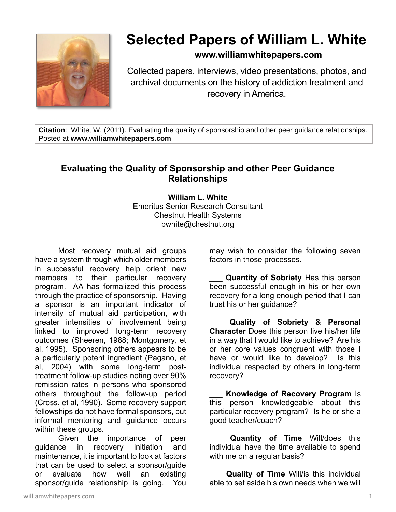

## **Selected Papers of William L. White**

## **www.williamwhitepapers.com**

Collected papers, interviews, video presentations, photos, and archival documents on the history of addiction treatment and recovery in America.

**Citation**: White, W. (2011). Evaluating the quality of sponsorship and other peer guidance relationships. Posted at **www.williamwhitepapers.com**

## **Evaluating the Quality of Sponsorship and other Peer Guidance Relationships**

**William L. White** Emeritus Senior Research Consultant Chestnut Health Systems bwhite@chestnut.org

Most recovery mutual aid groups have a system through which older members in successful recovery help orient new members to their particular recovery program. AA has formalized this process through the practice of sponsorship. Having a sponsor is an important indicator of intensity of mutual aid participation, with greater intensities of involvement being linked to improved long-term recovery outcomes (Sheeren, 1988; Montgomery, et al, 1995). Sponsoring others appears to be a particularly potent ingredient (Pagano, et al, 2004) with some long-term posttreatment follow-up studies noting over 90% remission rates in persons who sponsored others throughout the follow-up period (Cross, et al, 1990). Some recovery support fellowships do not have formal sponsors, but informal mentoring and guidance occurs within these groups.

Given the importance of peer guidance in recovery initiation and maintenance, it is important to look at factors that can be used to select a sponsor/guide or evaluate how well an existing sponsor/guide relationship is going. You

may wish to consider the following seven factors in those processes.

**Quantity of Sobriety** Has this person been successful enough in his or her own recovery for a long enough period that I can trust his or her guidance?

\_\_\_ **Quality of Sobriety & Personal Character** Does this person live his/her life in a way that I would like to achieve? Are his or her core values congruent with those I have or would like to develop? Is this individual respected by others in long-term recovery?

**Knowledge of Recovery Program Is** this person knowledgeable about this particular recovery program? Is he or she a good teacher/coach?

\_\_\_ **Quantity of Time** Will/does this individual have the time available to spend with me on a regular basis?

Quality of Time Will/is this individual able to set aside his own needs when we will